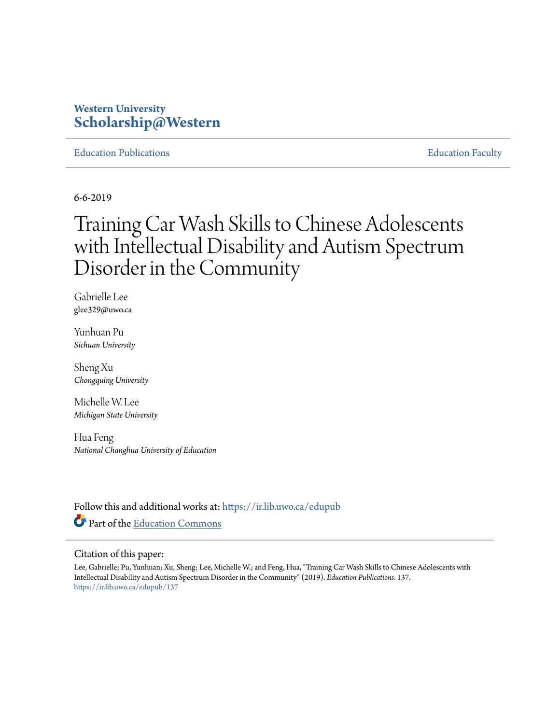# **Western University [Scholarship@Western](https://ir.lib.uwo.ca/?utm_source=ir.lib.uwo.ca%2Fedupub%2F137&utm_medium=PDF&utm_campaign=PDFCoverPages)**

[Education Publications](https://ir.lib.uwo.ca/edupub?utm_source=ir.lib.uwo.ca%2Fedupub%2F137&utm_medium=PDF&utm_campaign=PDFCoverPages) [Education Faculty](https://ir.lib.uwo.ca/edu?utm_source=ir.lib.uwo.ca%2Fedupub%2F137&utm_medium=PDF&utm_campaign=PDFCoverPages)

6-6-2019

# Training Car Wash Skills to Chinese Adolescents with Intellectual Disability and Autism Spectrum Disorder in the Community

Gabrielle Lee glee329@uwo.ca

Yunhuan Pu *Sichuan University*

Sheng Xu *Chongquing University*

Michelle W. Lee *Michigan State University*

Hua Feng *National Changhua University of Education*

Follow this and additional works at: [https://ir.lib.uwo.ca/edupub](https://ir.lib.uwo.ca/edupub?utm_source=ir.lib.uwo.ca%2Fedupub%2F137&utm_medium=PDF&utm_campaign=PDFCoverPages) Part of the [Education Commons](http://network.bepress.com/hgg/discipline/784?utm_source=ir.lib.uwo.ca%2Fedupub%2F137&utm_medium=PDF&utm_campaign=PDFCoverPages)

#### Citation of this paper:

Lee, Gabrielle; Pu, Yunhuan; Xu, Sheng; Lee, Michelle W.; and Feng, Hua, "Training Car Wash Skills to Chinese Adolescents with Intellectual Disability and Autism Spectrum Disorder in the Community" (2019). *Education Publications*. 137. [https://ir.lib.uwo.ca/edupub/137](https://ir.lib.uwo.ca/edupub/137?utm_source=ir.lib.uwo.ca%2Fedupub%2F137&utm_medium=PDF&utm_campaign=PDFCoverPages)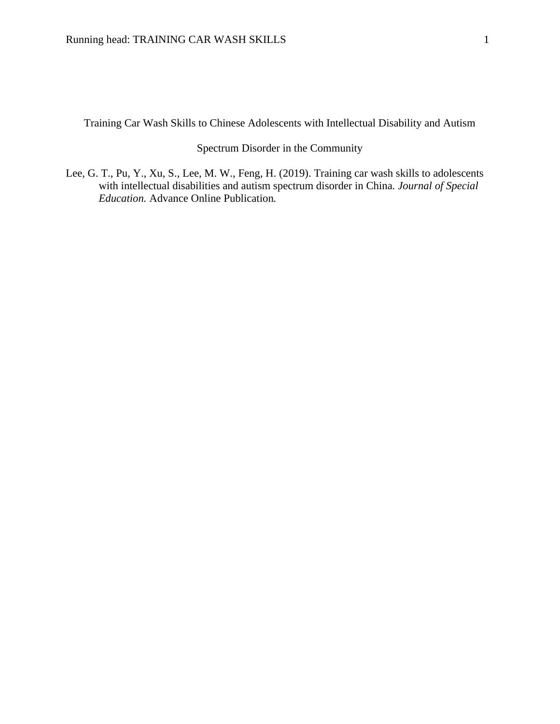Training Car Wash Skills to Chinese Adolescents with Intellectual Disability and Autism

### Spectrum Disorder in the Community

Lee, G. T., Pu, Y., Xu, S., Lee, M. W., Feng, H. (2019). Training car wash skills to adolescents with intellectual disabilities and autism spectrum disorder in China*. Journal of Special Education.* Advance Online Publication*.*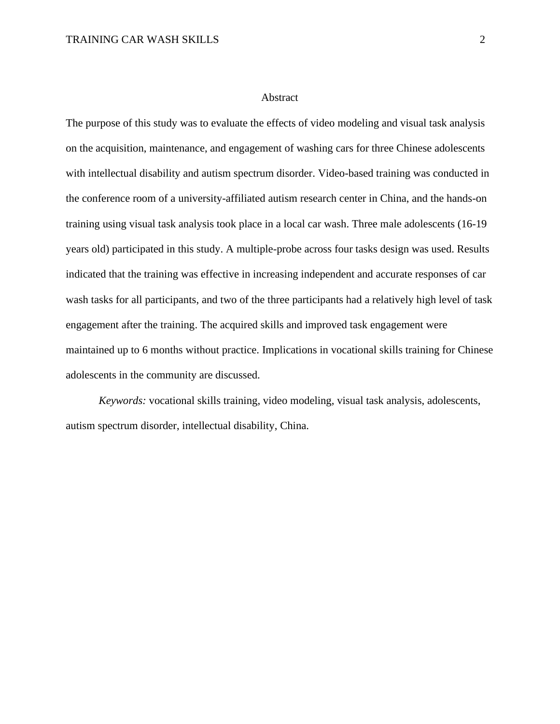#### Abstract

The purpose of this study was to evaluate the effects of video modeling and visual task analysis on the acquisition, maintenance, and engagement of washing cars for three Chinese adolescents with intellectual disability and autism spectrum disorder. Video-based training was conducted in the conference room of a university-affiliated autism research center in China, and the hands-on training using visual task analysis took place in a local car wash. Three male adolescents (16-19 years old) participated in this study. A multiple-probe across four tasks design was used. Results indicated that the training was effective in increasing independent and accurate responses of car wash tasks for all participants, and two of the three participants had a relatively high level of task engagement after the training. The acquired skills and improved task engagement were maintained up to 6 months without practice. Implications in vocational skills training for Chinese adolescents in the community are discussed.

*Keywords:* vocational skills training, video modeling, visual task analysis, adolescents, autism spectrum disorder, intellectual disability, China.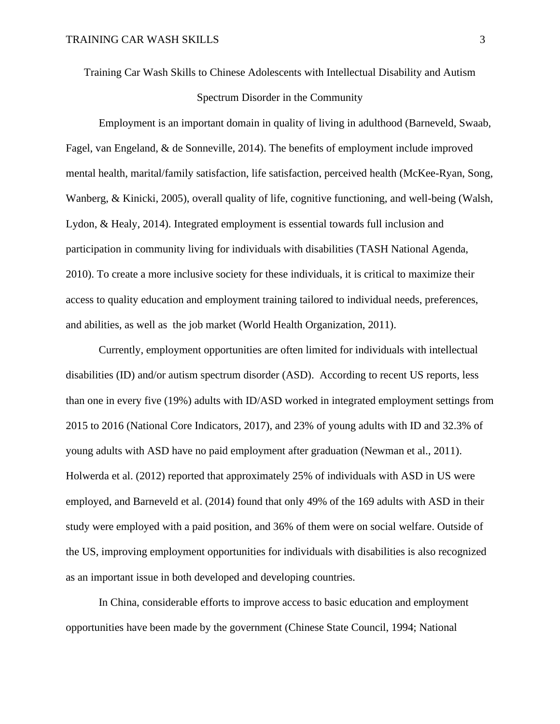Training Car Wash Skills to Chinese Adolescents with Intellectual Disability and Autism Spectrum Disorder in the Community

Employment is an important domain in quality of living in adulthood (Barneveld, Swaab, Fagel, van Engeland, & de Sonneville, 2014). The benefits of employment include improved mental health, marital/family satisfaction, life satisfaction, perceived health (McKee-Ryan, Song, Wanberg, & Kinicki, 2005), overall quality of life, cognitive functioning, and well-being (Walsh, Lydon, & Healy, 2014). Integrated employment is essential towards full inclusion and participation in community living for individuals with disabilities (TASH National Agenda, 2010). To create a more inclusive society for these individuals, it is critical to maximize their access to quality education and employment training tailored to individual needs, preferences, and abilities, as well as the job market (World Health Organization, 2011).

Currently, employment opportunities are often limited for individuals with intellectual disabilities (ID) and/or autism spectrum disorder (ASD). According to recent US reports, less than one in every five (19%) adults with ID/ASD worked in integrated employment settings from 2015 to 2016 (National Core Indicators, 2017), and 23% of young adults with ID and 32.3% of young adults with ASD have no paid employment after graduation (Newman et al., 2011). Holwerda et al. (2012) reported that approximately 25% of individuals with ASD in US were employed, and Barneveld et al. (2014) found that only 49% of the 169 adults with ASD in their study were employed with a paid position, and 36% of them were on social welfare. Outside of the US, improving employment opportunities for individuals with disabilities is also recognized as an important issue in both developed and developing countries.

In China, considerable efforts to improve access to basic education and employment opportunities have been made by the government (Chinese State Council, 1994; National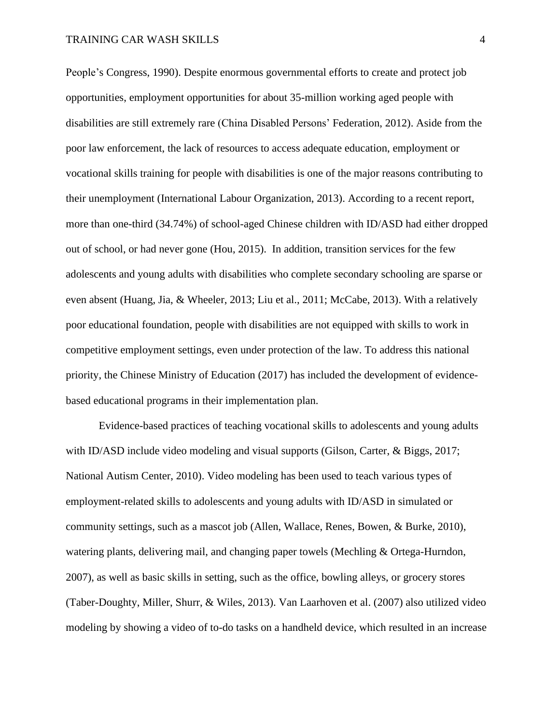People's Congress, 1990). Despite enormous governmental efforts to create and protect job opportunities, employment opportunities for about 35-million working aged people with disabilities are still extremely rare (China Disabled Persons' Federation, 2012). Aside from the poor law enforcement, the lack of resources to access adequate education, employment or vocational skills training for people with disabilities is one of the major reasons contributing to their unemployment (International Labour Organization, 2013). According to a recent report, more than one-third (34.74%) of school-aged Chinese children with ID/ASD had either dropped out of school, or had never gone (Hou, 2015). In addition, transition services for the few adolescents and young adults with disabilities who complete secondary schooling are sparse or even absent (Huang, Jia, & Wheeler, 2013; Liu et al., 2011; McCabe, 2013). With a relatively poor educational foundation, people with disabilities are not equipped with skills to work in competitive employment settings, even under protection of the law. To address this national priority, the Chinese Ministry of Education (2017) has included the development of evidencebased educational programs in their implementation plan.

Evidence-based practices of teaching vocational skills to adolescents and young adults with ID/ASD include video modeling and visual supports (Gilson, Carter, & Biggs, 2017; National Autism Center, 2010). Video modeling has been used to teach various types of employment-related skills to adolescents and young adults with ID/ASD in simulated or community settings, such as a mascot job (Allen, Wallace, Renes, Bowen, & Burke, 2010), watering plants, delivering mail, and changing paper towels (Mechling & Ortega-Hurndon, 2007), as well as basic skills in setting, such as the office, bowling alleys, or grocery stores (Taber-Doughty, Miller, Shurr, & Wiles, 2013). Van Laarhoven et al. (2007) also utilized video modeling by showing a video of to-do tasks on a handheld device, which resulted in an increase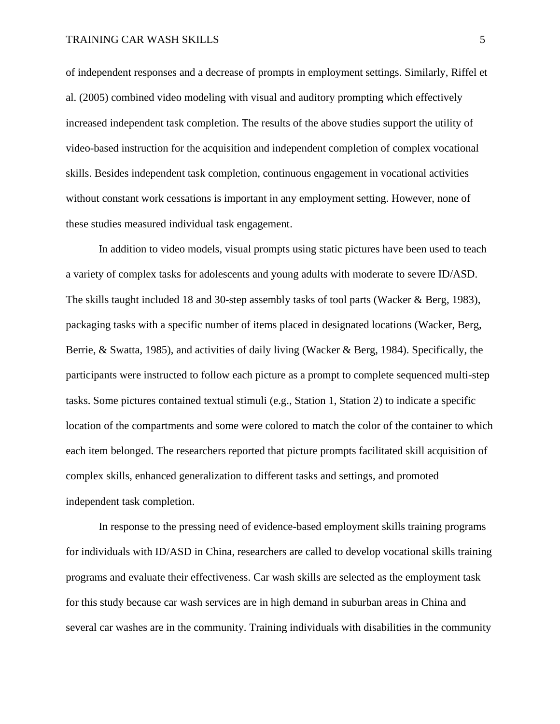of independent responses and a decrease of prompts in employment settings. Similarly, Riffel et al. (2005) combined video modeling with visual and auditory prompting which effectively increased independent task completion. The results of the above studies support the utility of video-based instruction for the acquisition and independent completion of complex vocational skills. Besides independent task completion, continuous engagement in vocational activities without constant work cessations is important in any employment setting. However, none of these studies measured individual task engagement.

In addition to video models, visual prompts using static pictures have been used to teach a variety of complex tasks for adolescents and young adults with moderate to severe ID/ASD. The skills taught included 18 and 30-step assembly tasks of tool parts (Wacker & Berg, 1983), packaging tasks with a specific number of items placed in designated locations (Wacker, Berg, Berrie, & Swatta, 1985), and activities of daily living (Wacker & Berg, 1984). Specifically, the participants were instructed to follow each picture as a prompt to complete sequenced multi-step tasks. Some pictures contained textual stimuli (e.g., Station 1, Station 2) to indicate a specific location of the compartments and some were colored to match the color of the container to which each item belonged. The researchers reported that picture prompts facilitated skill acquisition of complex skills, enhanced generalization to different tasks and settings, and promoted independent task completion.

In response to the pressing need of evidence-based employment skills training programs for individuals with ID/ASD in China, researchers are called to develop vocational skills training programs and evaluate their effectiveness. Car wash skills are selected as the employment task for this study because car wash services are in high demand in suburban areas in China and several car washes are in the community. Training individuals with disabilities in the community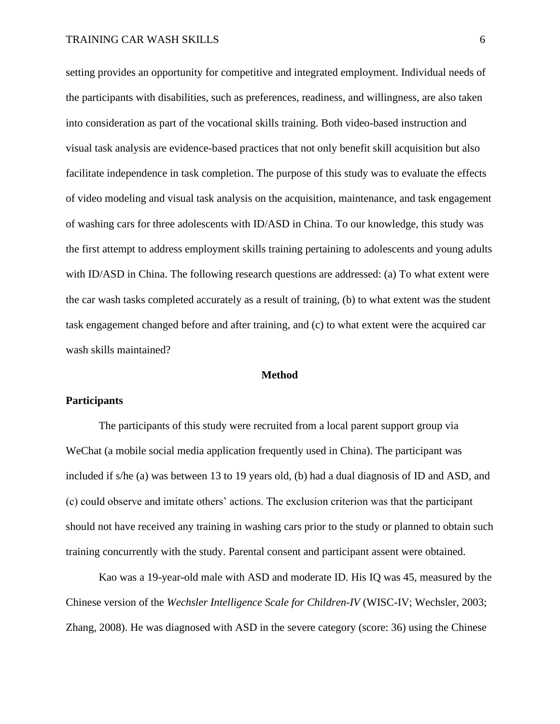setting provides an opportunity for competitive and integrated employment. Individual needs of the participants with disabilities, such as preferences, readiness, and willingness, are also taken into consideration as part of the vocational skills training. Both video-based instruction and visual task analysis are evidence-based practices that not only benefit skill acquisition but also facilitate independence in task completion. The purpose of this study was to evaluate the effects of video modeling and visual task analysis on the acquisition, maintenance, and task engagement of washing cars for three adolescents with ID/ASD in China. To our knowledge, this study was the first attempt to address employment skills training pertaining to adolescents and young adults with ID/ASD in China. The following research questions are addressed: (a) To what extent were the car wash tasks completed accurately as a result of training, (b) to what extent was the student task engagement changed before and after training, and (c) to what extent were the acquired car wash skills maintained?

#### **Method**

#### **Participants**

The participants of this study were recruited from a local parent support group via WeChat (a mobile social media application frequently used in China). The participant was included if s/he (a) was between 13 to 19 years old, (b) had a dual diagnosis of ID and ASD, and (c) could observe and imitate others' actions. The exclusion criterion was that the participant should not have received any training in washing cars prior to the study or planned to obtain such training concurrently with the study. Parental consent and participant assent were obtained.

Kao was a 19-year-old male with ASD and moderate ID. His IQ was 45, measured by the Chinese version of the *Wechsler Intelligence Scale for Children-IV* (WISC-IV; Wechsler, 2003; Zhang, 2008). He was diagnosed with ASD in the severe category (score: 36) using the Chinese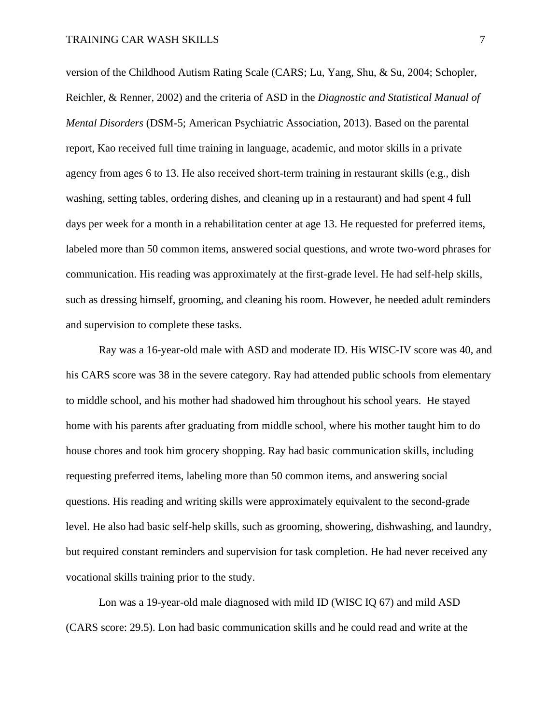version of the Childhood Autism Rating Scale (CARS; Lu, Yang, Shu, & Su, 2004; Schopler, Reichler, & Renner, 2002) and the criteria of ASD in the *Diagnostic and Statistical Manual of Mental Disorders* (DSM-5; American Psychiatric Association, 2013). Based on the parental report, Kao received full time training in language, academic, and motor skills in a private agency from ages 6 to 13. He also received short-term training in restaurant skills (e.g., dish washing, setting tables, ordering dishes, and cleaning up in a restaurant) and had spent 4 full days per week for a month in a rehabilitation center at age 13. He requested for preferred items, labeled more than 50 common items, answered social questions, and wrote two-word phrases for communication. His reading was approximately at the first-grade level. He had self-help skills, such as dressing himself, grooming, and cleaning his room. However, he needed adult reminders and supervision to complete these tasks.

Ray was a 16-year-old male with ASD and moderate ID. His WISC-IV score was 40, and his CARS score was 38 in the severe category. Ray had attended public schools from elementary to middle school, and his mother had shadowed him throughout his school years. He stayed home with his parents after graduating from middle school, where his mother taught him to do house chores and took him grocery shopping. Ray had basic communication skills, including requesting preferred items, labeling more than 50 common items, and answering social questions. His reading and writing skills were approximately equivalent to the second-grade level. He also had basic self-help skills, such as grooming, showering, dishwashing, and laundry, but required constant reminders and supervision for task completion. He had never received any vocational skills training prior to the study.

Lon was a 19-year-old male diagnosed with mild ID (WISC IQ 67) and mild ASD (CARS score: 29.5). Lon had basic communication skills and he could read and write at the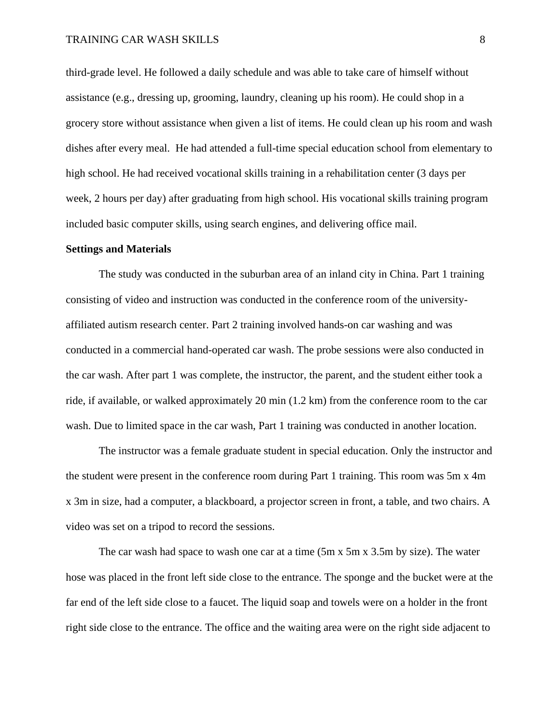third-grade level. He followed a daily schedule and was able to take care of himself without assistance (e.g., dressing up, grooming, laundry, cleaning up his room). He could shop in a grocery store without assistance when given a list of items. He could clean up his room and wash dishes after every meal. He had attended a full-time special education school from elementary to high school. He had received vocational skills training in a rehabilitation center (3 days per week, 2 hours per day) after graduating from high school. His vocational skills training program included basic computer skills, using search engines, and delivering office mail.

#### **Settings and Materials**

The study was conducted in the suburban area of an inland city in China. Part 1 training consisting of video and instruction was conducted in the conference room of the universityaffiliated autism research center. Part 2 training involved hands-on car washing and was conducted in a commercial hand-operated car wash. The probe sessions were also conducted in the car wash. After part 1 was complete, the instructor, the parent, and the student either took a ride, if available, or walked approximately 20 min (1.2 km) from the conference room to the car wash. Due to limited space in the car wash, Part 1 training was conducted in another location.

The instructor was a female graduate student in special education. Only the instructor and the student were present in the conference room during Part 1 training. This room was 5m x 4m x 3m in size, had a computer, a blackboard, a projector screen in front, a table, and two chairs. A video was set on a tripod to record the sessions.

The car wash had space to wash one car at a time (5m x 5m x 3.5m by size). The water hose was placed in the front left side close to the entrance. The sponge and the bucket were at the far end of the left side close to a faucet. The liquid soap and towels were on a holder in the front right side close to the entrance. The office and the waiting area were on the right side adjacent to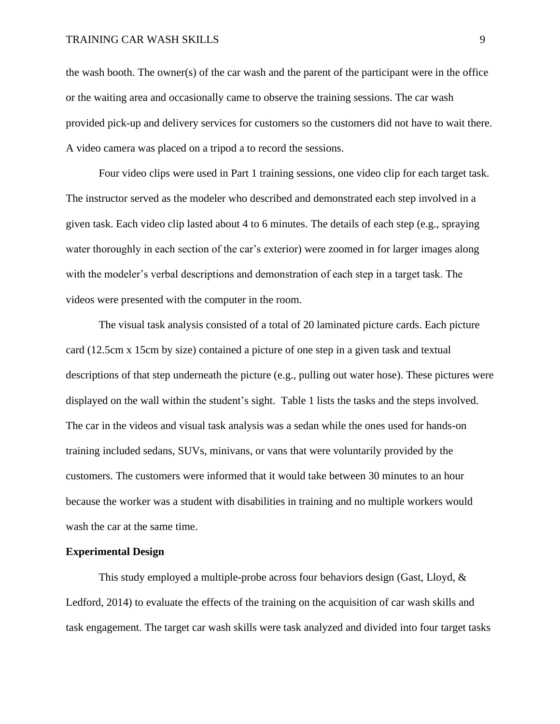the wash booth. The owner(s) of the car wash and the parent of the participant were in the office or the waiting area and occasionally came to observe the training sessions. The car wash provided pick-up and delivery services for customers so the customers did not have to wait there. A video camera was placed on a tripod a to record the sessions.

Four video clips were used in Part 1 training sessions, one video clip for each target task. The instructor served as the modeler who described and demonstrated each step involved in a given task. Each video clip lasted about 4 to 6 minutes. The details of each step (e.g., spraying water thoroughly in each section of the car's exterior) were zoomed in for larger images along with the modeler's verbal descriptions and demonstration of each step in a target task. The videos were presented with the computer in the room.

The visual task analysis consisted of a total of 20 laminated picture cards. Each picture card (12.5cm x 15cm by size) contained a picture of one step in a given task and textual descriptions of that step underneath the picture (e.g., pulling out water hose). These pictures were displayed on the wall within the student's sight. Table 1 lists the tasks and the steps involved. The car in the videos and visual task analysis was a sedan while the ones used for hands-on training included sedans, SUVs, minivans, or vans that were voluntarily provided by the customers. The customers were informed that it would take between 30 minutes to an hour because the worker was a student with disabilities in training and no multiple workers would wash the car at the same time.

#### **Experimental Design**

This study employed a multiple-probe across four behaviors design (Gast, Lloyd,  $\&$ Ledford, 2014) to evaluate the effects of the training on the acquisition of car wash skills and task engagement. The target car wash skills were task analyzed and divided into four target tasks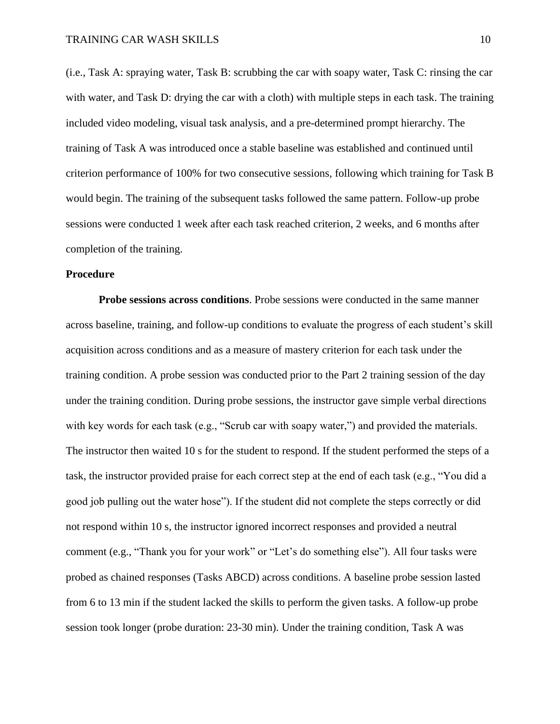(i.e., Task A: spraying water, Task B: scrubbing the car with soapy water, Task C: rinsing the car with water, and Task D: drying the car with a cloth) with multiple steps in each task. The training included video modeling, visual task analysis, and a pre-determined prompt hierarchy. The training of Task A was introduced once a stable baseline was established and continued until criterion performance of 100% for two consecutive sessions, following which training for Task B would begin. The training of the subsequent tasks followed the same pattern. Follow-up probe sessions were conducted 1 week after each task reached criterion, 2 weeks, and 6 months after completion of the training.

#### **Procedure**

**Probe sessions across conditions**. Probe sessions were conducted in the same manner across baseline, training, and follow-up conditions to evaluate the progress of each student's skill acquisition across conditions and as a measure of mastery criterion for each task under the training condition. A probe session was conducted prior to the Part 2 training session of the day under the training condition. During probe sessions, the instructor gave simple verbal directions with key words for each task (e.g., "Scrub car with soapy water,") and provided the materials. The instructor then waited 10 s for the student to respond. If the student performed the steps of a task, the instructor provided praise for each correct step at the end of each task (e.g., "You did a good job pulling out the water hose"). If the student did not complete the steps correctly or did not respond within 10 s, the instructor ignored incorrect responses and provided a neutral comment (e.g., "Thank you for your work" or "Let's do something else"). All four tasks were probed as chained responses (Tasks ABCD) across conditions. A baseline probe session lasted from 6 to 13 min if the student lacked the skills to perform the given tasks. A follow-up probe session took longer (probe duration: 23-30 min). Under the training condition, Task A was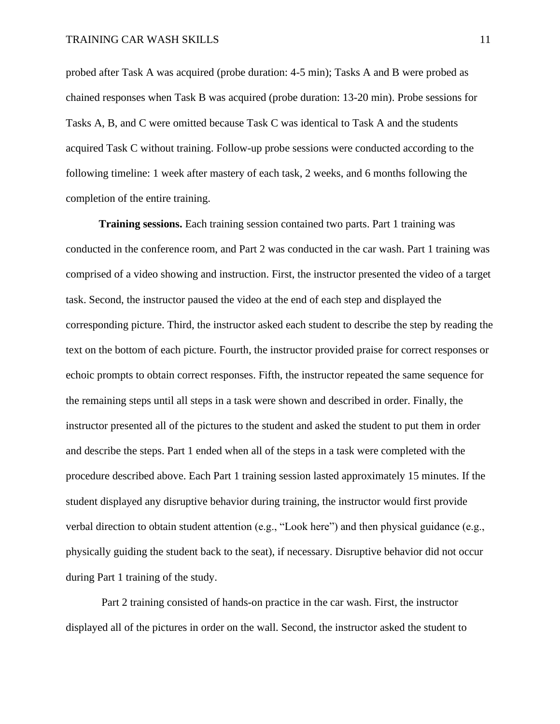probed after Task A was acquired (probe duration: 4-5 min); Tasks A and B were probed as chained responses when Task B was acquired (probe duration: 13-20 min). Probe sessions for Tasks A, B, and C were omitted because Task C was identical to Task A and the students acquired Task C without training. Follow-up probe sessions were conducted according to the following timeline: 1 week after mastery of each task, 2 weeks, and 6 months following the completion of the entire training.

**Training sessions.** Each training session contained two parts. Part 1 training was conducted in the conference room, and Part 2 was conducted in the car wash. Part 1 training was comprised of a video showing and instruction. First, the instructor presented the video of a target task. Second, the instructor paused the video at the end of each step and displayed the corresponding picture. Third, the instructor asked each student to describe the step by reading the text on the bottom of each picture. Fourth, the instructor provided praise for correct responses or echoic prompts to obtain correct responses. Fifth, the instructor repeated the same sequence for the remaining steps until all steps in a task were shown and described in order. Finally, the instructor presented all of the pictures to the student and asked the student to put them in order and describe the steps. Part 1 ended when all of the steps in a task were completed with the procedure described above. Each Part 1 training session lasted approximately 15 minutes. If the student displayed any disruptive behavior during training, the instructor would first provide verbal direction to obtain student attention (e.g., "Look here") and then physical guidance (e.g., physically guiding the student back to the seat), if necessary. Disruptive behavior did not occur during Part 1 training of the study.

Part 2 training consisted of hands-on practice in the car wash. First, the instructor displayed all of the pictures in order on the wall. Second, the instructor asked the student to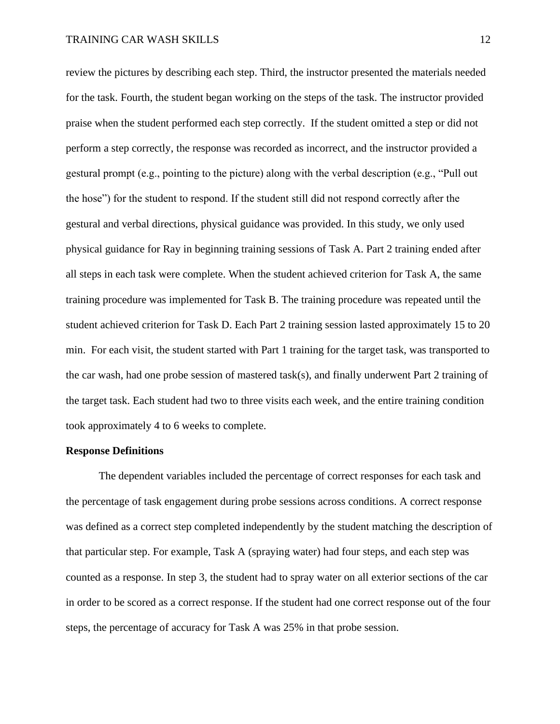review the pictures by describing each step. Third, the instructor presented the materials needed for the task. Fourth, the student began working on the steps of the task. The instructor provided praise when the student performed each step correctly. If the student omitted a step or did not perform a step correctly, the response was recorded as incorrect, and the instructor provided a gestural prompt (e.g., pointing to the picture) along with the verbal description (e.g., "Pull out the hose") for the student to respond. If the student still did not respond correctly after the gestural and verbal directions, physical guidance was provided. In this study, we only used physical guidance for Ray in beginning training sessions of Task A. Part 2 training ended after all steps in each task were complete. When the student achieved criterion for Task A, the same training procedure was implemented for Task B. The training procedure was repeated until the student achieved criterion for Task D. Each Part 2 training session lasted approximately 15 to 20 min. For each visit, the student started with Part 1 training for the target task, was transported to the car wash, had one probe session of mastered task(s), and finally underwent Part 2 training of the target task. Each student had two to three visits each week, and the entire training condition took approximately 4 to 6 weeks to complete.

#### **Response Definitions**

The dependent variables included the percentage of correct responses for each task and the percentage of task engagement during probe sessions across conditions. A correct response was defined as a correct step completed independently by the student matching the description of that particular step. For example, Task A (spraying water) had four steps, and each step was counted as a response. In step 3, the student had to spray water on all exterior sections of the car in order to be scored as a correct response. If the student had one correct response out of the four steps, the percentage of accuracy for Task A was 25% in that probe session.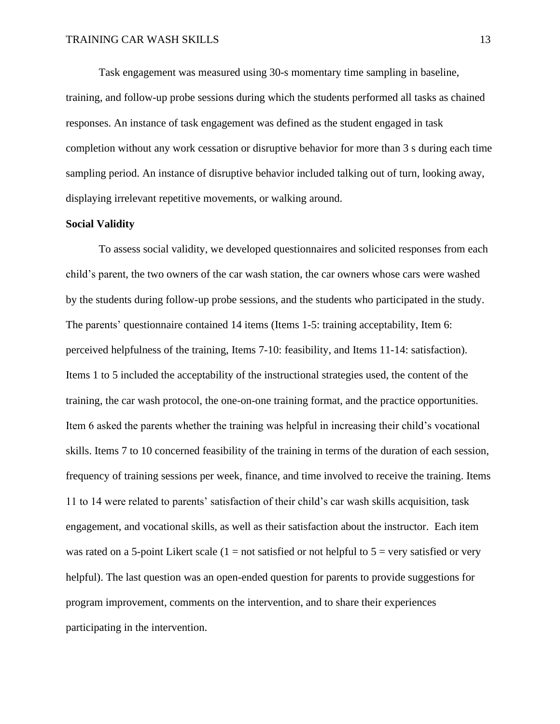Task engagement was measured using 30-s momentary time sampling in baseline, training, and follow-up probe sessions during which the students performed all tasks as chained responses. An instance of task engagement was defined as the student engaged in task completion without any work cessation or disruptive behavior for more than 3 s during each time sampling period. An instance of disruptive behavior included talking out of turn, looking away, displaying irrelevant repetitive movements, or walking around.

#### **Social Validity**

To assess social validity, we developed questionnaires and solicited responses from each child's parent, the two owners of the car wash station, the car owners whose cars were washed by the students during follow-up probe sessions, and the students who participated in the study. The parents' questionnaire contained 14 items (Items 1-5: training acceptability, Item 6: perceived helpfulness of the training, Items 7-10: feasibility, and Items 11-14: satisfaction). Items 1 to 5 included the acceptability of the instructional strategies used, the content of the training, the car wash protocol, the one-on-one training format, and the practice opportunities. Item 6 asked the parents whether the training was helpful in increasing their child's vocational skills. Items 7 to 10 concerned feasibility of the training in terms of the duration of each session, frequency of training sessions per week, finance, and time involved to receive the training. Items 11 to 14 were related to parents' satisfaction of their child's car wash skills acquisition, task engagement, and vocational skills, as well as their satisfaction about the instructor. Each item was rated on a 5-point Likert scale  $(1 = not satisfied or not helpful to 5 = very satisfied or very)$ helpful). The last question was an open-ended question for parents to provide suggestions for program improvement, comments on the intervention, and to share their experiences participating in the intervention.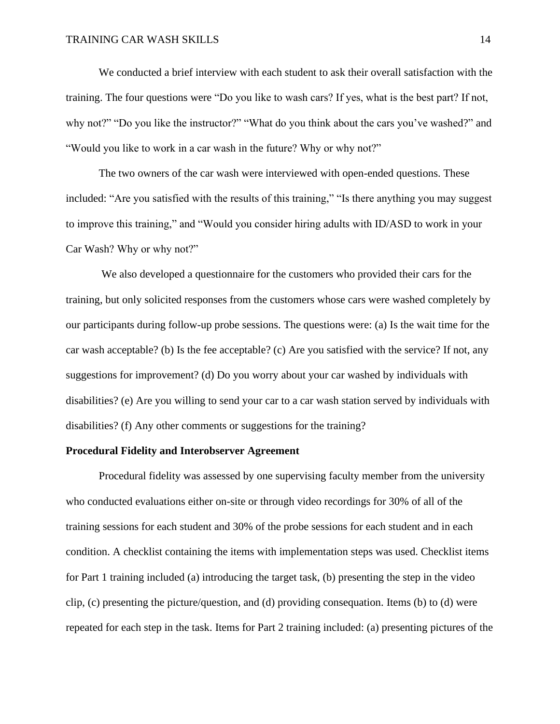We conducted a brief interview with each student to ask their overall satisfaction with the training. The four questions were "Do you like to wash cars? If yes, what is the best part? If not, why not?" "Do you like the instructor?" "What do you think about the cars you've washed?" and "Would you like to work in a car wash in the future? Why or why not?"

The two owners of the car wash were interviewed with open-ended questions. These included: "Are you satisfied with the results of this training," "Is there anything you may suggest to improve this training," and "Would you consider hiring adults with ID/ASD to work in your Car Wash? Why or why not?"

We also developed a questionnaire for the customers who provided their cars for the training, but only solicited responses from the customers whose cars were washed completely by our participants during follow-up probe sessions. The questions were: (a) Is the wait time for the car wash acceptable? (b) Is the fee acceptable? (c) Are you satisfied with the service? If not, any suggestions for improvement? (d) Do you worry about your car washed by individuals with disabilities? (e) Are you willing to send your car to a car wash station served by individuals with disabilities? (f) Any other comments or suggestions for the training?

#### **Procedural Fidelity and Interobserver Agreement**

Procedural fidelity was assessed by one supervising faculty member from the university who conducted evaluations either on-site or through video recordings for 30% of all of the training sessions for each student and 30% of the probe sessions for each student and in each condition. A checklist containing the items with implementation steps was used. Checklist items for Part 1 training included (a) introducing the target task, (b) presenting the step in the video clip, (c) presenting the picture/question, and (d) providing consequation. Items (b) to (d) were repeated for each step in the task. Items for Part 2 training included: (a) presenting pictures of the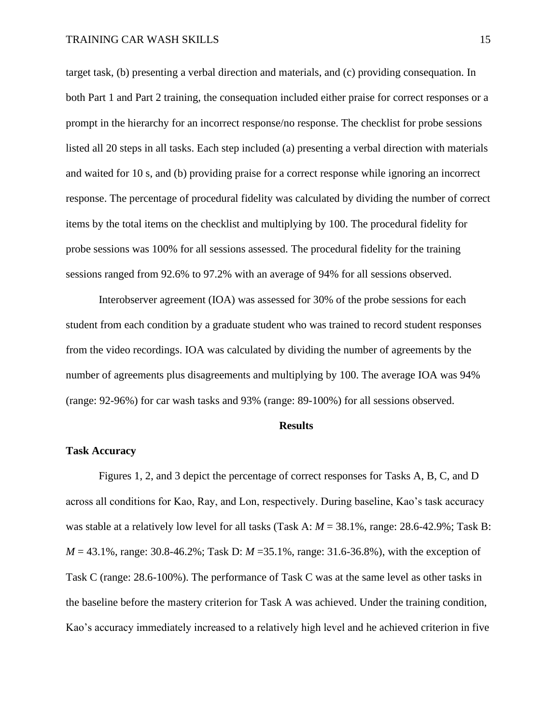target task, (b) presenting a verbal direction and materials, and (c) providing consequation. In both Part 1 and Part 2 training, the consequation included either praise for correct responses or a prompt in the hierarchy for an incorrect response/no response. The checklist for probe sessions listed all 20 steps in all tasks. Each step included (a) presenting a verbal direction with materials and waited for 10 s, and (b) providing praise for a correct response while ignoring an incorrect response. The percentage of procedural fidelity was calculated by dividing the number of correct items by the total items on the checklist and multiplying by 100. The procedural fidelity for probe sessions was 100% for all sessions assessed. The procedural fidelity for the training sessions ranged from 92.6% to 97.2% with an average of 94% for all sessions observed.

Interobserver agreement (IOA) was assessed for 30% of the probe sessions for each student from each condition by a graduate student who was trained to record student responses from the video recordings. IOA was calculated by dividing the number of agreements by the number of agreements plus disagreements and multiplying by 100. The average IOA was 94% (range: 92-96%) for car wash tasks and 93% (range: 89-100%) for all sessions observed.

#### **Results**

#### **Task Accuracy**

Figures 1, 2, and 3 depict the percentage of correct responses for Tasks A, B, C, and D across all conditions for Kao, Ray, and Lon, respectively. During baseline, Kao's task accuracy was stable at a relatively low level for all tasks (Task A:  $M = 38.1\%$ , range: 28.6-42.9%; Task B: *M* = 43.1%, range: 30.8-46.2%; Task D: *M* = 35.1%, range: 31.6-36.8%), with the exception of Task C (range: 28.6-100%). The performance of Task C was at the same level as other tasks in the baseline before the mastery criterion for Task A was achieved. Under the training condition, Kao's accuracy immediately increased to a relatively high level and he achieved criterion in five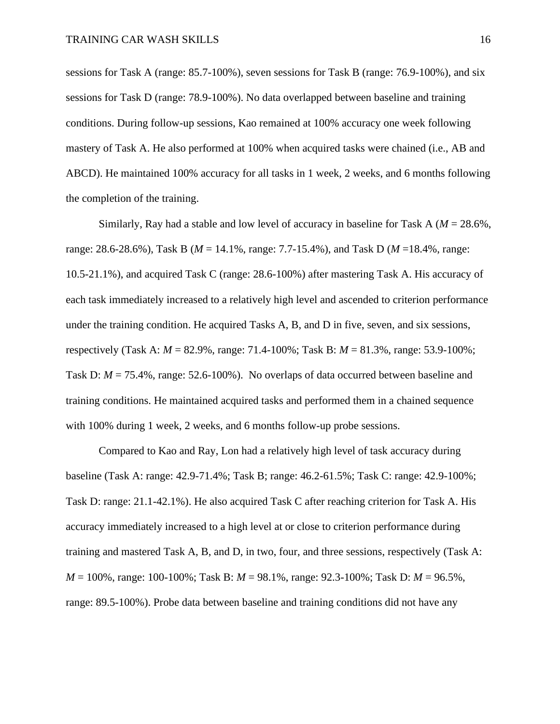sessions for Task A (range: 85.7-100%), seven sessions for Task B (range: 76.9-100%), and six sessions for Task D (range: 78.9-100%). No data overlapped between baseline and training conditions. During follow-up sessions, Kao remained at 100% accuracy one week following mastery of Task A. He also performed at 100% when acquired tasks were chained (i.e., AB and ABCD). He maintained 100% accuracy for all tasks in 1 week, 2 weeks, and 6 months following the completion of the training.

Similarly, Ray had a stable and low level of accuracy in baseline for Task A (*M* = 28.6%, range: 28.6-28.6%), Task B (*M* = 14.1%, range: 7.7-15.4%), and Task D (*M* =18.4%, range: 10.5-21.1%), and acquired Task C (range: 28.6-100%) after mastering Task A. His accuracy of each task immediately increased to a relatively high level and ascended to criterion performance under the training condition. He acquired Tasks A, B, and D in five, seven, and six sessions, respectively (Task A: *M* = 82.9%, range: 71.4-100%; Task B: *M* = 81.3%, range: 53.9-100%; Task D:  $M = 75.4\%$ , range: 52.6-100%). No overlaps of data occurred between baseline and training conditions. He maintained acquired tasks and performed them in a chained sequence with 100% during 1 week, 2 weeks, and 6 months follow-up probe sessions.

Compared to Kao and Ray, Lon had a relatively high level of task accuracy during baseline (Task A: range: 42.9-71.4%; Task B; range: 46.2-61.5%; Task C: range: 42.9-100%; Task D: range: 21.1-42.1%). He also acquired Task C after reaching criterion for Task A. His accuracy immediately increased to a high level at or close to criterion performance during training and mastered Task A, B, and D, in two, four, and three sessions, respectively (Task A: *M* = 100%, range: 100-100%; Task B: *M* = 98.1%, range: 92.3-100%; Task D: *M* = 96.5%, range: 89.5-100%). Probe data between baseline and training conditions did not have any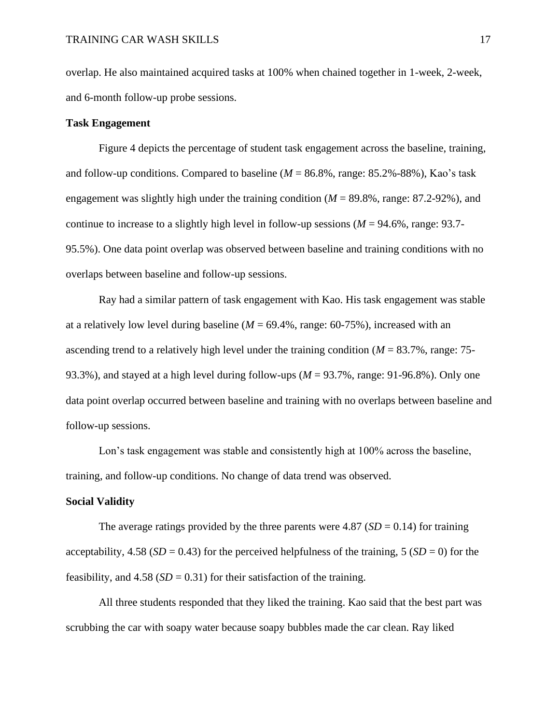overlap. He also maintained acquired tasks at 100% when chained together in 1-week, 2-week, and 6-month follow-up probe sessions.

#### **Task Engagement**

Figure 4 depicts the percentage of student task engagement across the baseline, training, and follow-up conditions. Compared to baseline (*M* = 86.8%, range: 85.2%-88%), Kao's task engagement was slightly high under the training condition (*M* = 89.8%, range: 87.2-92%), and continue to increase to a slightly high level in follow-up sessions (*M* = 94.6%, range: 93.7- 95.5%). One data point overlap was observed between baseline and training conditions with no overlaps between baseline and follow-up sessions.

Ray had a similar pattern of task engagement with Kao. His task engagement was stable at a relatively low level during baseline  $(M = 69.4\%$ , range:  $60-75\%$ ), increased with an ascending trend to a relatively high level under the training condition (*M* = 83.7%, range: 75- 93.3%), and stayed at a high level during follow-ups (*M* = 93.7%, range: 91-96.8%). Only one data point overlap occurred between baseline and training with no overlaps between baseline and follow-up sessions.

Lon's task engagement was stable and consistently high at 100% across the baseline, training, and follow-up conditions. No change of data trend was observed.

#### **Social Validity**

The average ratings provided by the three parents were 4.87 ( $SD = 0.14$ ) for training acceptability,  $4.58$  (*SD* = 0.43) for the perceived helpfulness of the training,  $5$  (*SD* = 0) for the feasibility, and  $4.58$  (*SD* = 0.31) for their satisfaction of the training.

All three students responded that they liked the training. Kao said that the best part was scrubbing the car with soapy water because soapy bubbles made the car clean. Ray liked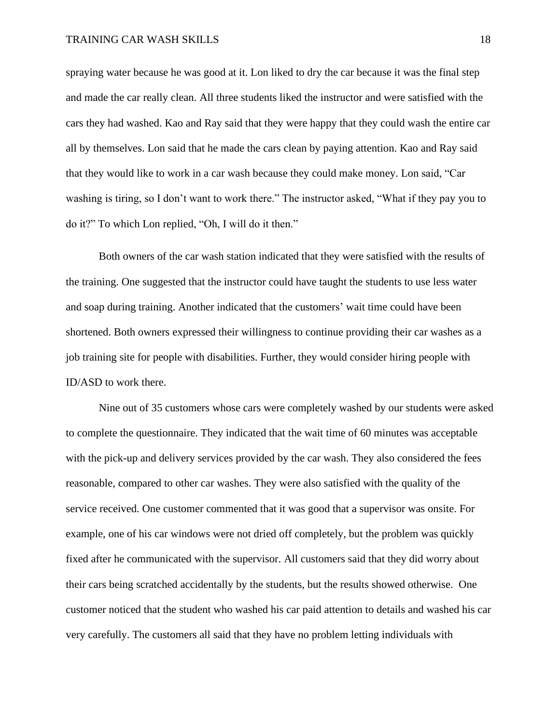spraying water because he was good at it. Lon liked to dry the car because it was the final step and made the car really clean. All three students liked the instructor and were satisfied with the cars they had washed. Kao and Ray said that they were happy that they could wash the entire car all by themselves. Lon said that he made the cars clean by paying attention. Kao and Ray said that they would like to work in a car wash because they could make money. Lon said, "Car washing is tiring, so I don't want to work there." The instructor asked, "What if they pay you to do it?" To which Lon replied, "Oh, I will do it then."

Both owners of the car wash station indicated that they were satisfied with the results of the training. One suggested that the instructor could have taught the students to use less water and soap during training. Another indicated that the customers' wait time could have been shortened. Both owners expressed their willingness to continue providing their car washes as a job training site for people with disabilities. Further, they would consider hiring people with ID/ASD to work there.

Nine out of 35 customers whose cars were completely washed by our students were asked to complete the questionnaire. They indicated that the wait time of 60 minutes was acceptable with the pick-up and delivery services provided by the car wash. They also considered the fees reasonable, compared to other car washes. They were also satisfied with the quality of the service received. One customer commented that it was good that a supervisor was onsite. For example, one of his car windows were not dried off completely, but the problem was quickly fixed after he communicated with the supervisor. All customers said that they did worry about their cars being scratched accidentally by the students, but the results showed otherwise. One customer noticed that the student who washed his car paid attention to details and washed his car very carefully. The customers all said that they have no problem letting individuals with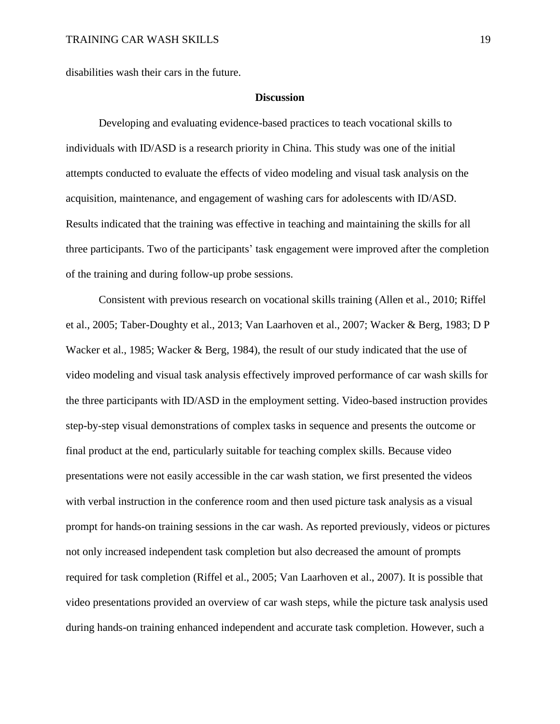disabilities wash their cars in the future.

#### **Discussion**

Developing and evaluating evidence-based practices to teach vocational skills to individuals with ID/ASD is a research priority in China. This study was one of the initial attempts conducted to evaluate the effects of video modeling and visual task analysis on the acquisition, maintenance, and engagement of washing cars for adolescents with ID/ASD. Results indicated that the training was effective in teaching and maintaining the skills for all three participants. Two of the participants' task engagement were improved after the completion of the training and during follow-up probe sessions.

Consistent with previous research on vocational skills training (Allen et al., 2010; Riffel et al., 2005; Taber-Doughty et al., 2013; Van Laarhoven et al., 2007; Wacker & Berg, 1983; D P Wacker et al., 1985; Wacker & Berg, 1984), the result of our study indicated that the use of video modeling and visual task analysis effectively improved performance of car wash skills for the three participants with ID/ASD in the employment setting. Video-based instruction provides step-by-step visual demonstrations of complex tasks in sequence and presents the outcome or final product at the end, particularly suitable for teaching complex skills. Because video presentations were not easily accessible in the car wash station, we first presented the videos with verbal instruction in the conference room and then used picture task analysis as a visual prompt for hands-on training sessions in the car wash. As reported previously, videos or pictures not only increased independent task completion but also decreased the amount of prompts required for task completion (Riffel et al., 2005; Van Laarhoven et al., 2007). It is possible that video presentations provided an overview of car wash steps, while the picture task analysis used during hands-on training enhanced independent and accurate task completion. However, such a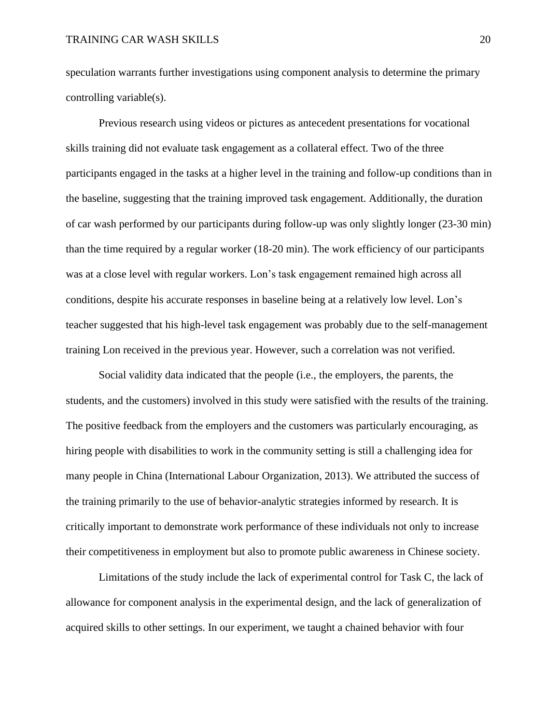speculation warrants further investigations using component analysis to determine the primary controlling variable(s).

Previous research using videos or pictures as antecedent presentations for vocational skills training did not evaluate task engagement as a collateral effect. Two of the three participants engaged in the tasks at a higher level in the training and follow-up conditions than in the baseline, suggesting that the training improved task engagement. Additionally, the duration of car wash performed by our participants during follow-up was only slightly longer (23-30 min) than the time required by a regular worker (18-20 min). The work efficiency of our participants was at a close level with regular workers. Lon's task engagement remained high across all conditions, despite his accurate responses in baseline being at a relatively low level. Lon's teacher suggested that his high-level task engagement was probably due to the self-management training Lon received in the previous year. However, such a correlation was not verified.

Social validity data indicated that the people (i.e., the employers, the parents, the students, and the customers) involved in this study were satisfied with the results of the training. The positive feedback from the employers and the customers was particularly encouraging, as hiring people with disabilities to work in the community setting is still a challenging idea for many people in China (International Labour Organization, 2013). We attributed the success of the training primarily to the use of behavior-analytic strategies informed by research. It is critically important to demonstrate work performance of these individuals not only to increase their competitiveness in employment but also to promote public awareness in Chinese society.

Limitations of the study include the lack of experimental control for Task C, the lack of allowance for component analysis in the experimental design, and the lack of generalization of acquired skills to other settings. In our experiment, we taught a chained behavior with four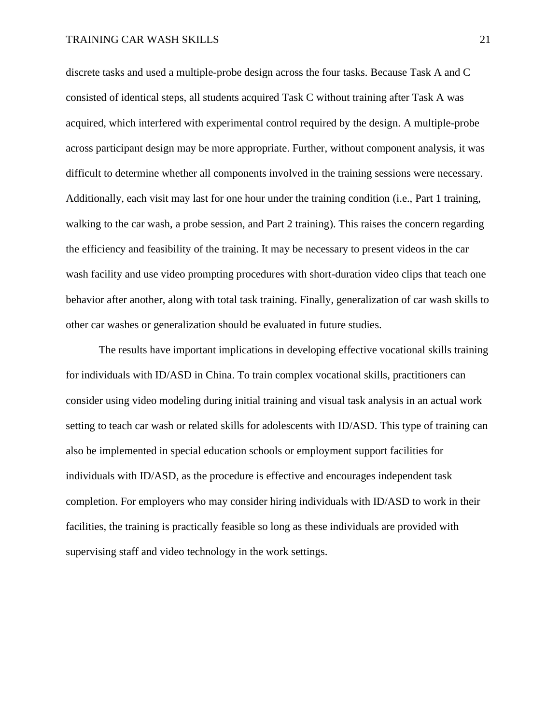discrete tasks and used a multiple-probe design across the four tasks. Because Task A and C consisted of identical steps, all students acquired Task C without training after Task A was acquired, which interfered with experimental control required by the design. A multiple-probe across participant design may be more appropriate. Further, without component analysis, it was difficult to determine whether all components involved in the training sessions were necessary. Additionally, each visit may last for one hour under the training condition (i.e., Part 1 training, walking to the car wash, a probe session, and Part 2 training). This raises the concern regarding the efficiency and feasibility of the training. It may be necessary to present videos in the car wash facility and use video prompting procedures with short-duration video clips that teach one behavior after another, along with total task training. Finally, generalization of car wash skills to other car washes or generalization should be evaluated in future studies.

The results have important implications in developing effective vocational skills training for individuals with ID/ASD in China. To train complex vocational skills, practitioners can consider using video modeling during initial training and visual task analysis in an actual work setting to teach car wash or related skills for adolescents with ID/ASD. This type of training can also be implemented in special education schools or employment support facilities for individuals with ID/ASD, as the procedure is effective and encourages independent task completion. For employers who may consider hiring individuals with ID/ASD to work in their facilities, the training is practically feasible so long as these individuals are provided with supervising staff and video technology in the work settings.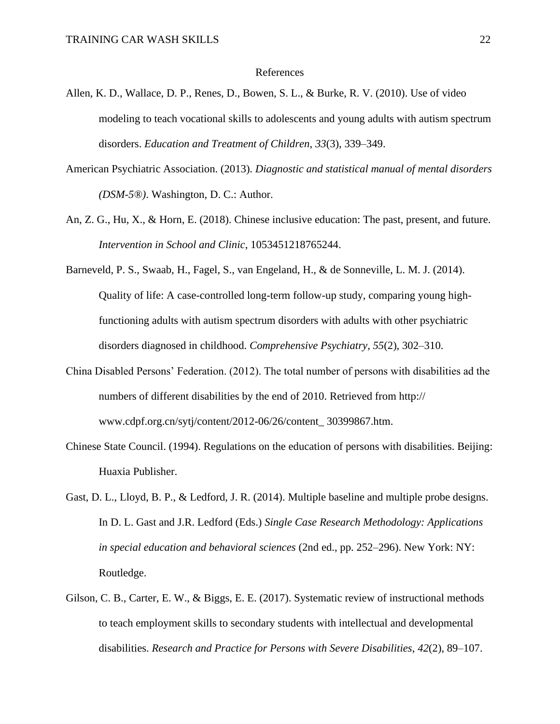#### References

- Allen, K. D., Wallace, D. P., Renes, D., Bowen, S. L., & Burke, R. V. (2010). Use of video modeling to teach vocational skills to adolescents and young adults with autism spectrum disorders. *Education and Treatment of Children*, *33*(3), 339–349.
- American Psychiatric Association. (2013). *Diagnostic and statistical manual of mental disorders (DSM-5®)*. Washington, D. C.: Author.
- An, Z. G., Hu, X., & Horn, E. (2018). Chinese inclusive education: The past, present, and future. *Intervention in School and Clinic*, 1053451218765244.
- Barneveld, P. S., Swaab, H., Fagel, S., van Engeland, H., & de Sonneville, L. M. J. (2014). Quality of life: A case-controlled long-term follow-up study, comparing young highfunctioning adults with autism spectrum disorders with adults with other psychiatric disorders diagnosed in childhood. *Comprehensive Psychiatry*, *55*(2), 302–310.
- China Disabled Persons' Federation. (2012). The total number of persons with disabilities ad the numbers of different disabilities by the end of 2010. Retrieved from http:// www.cdpf.org.cn/sytj/content/2012-06/26/content\_ 30399867.htm.
- Chinese State Council. (1994). Regulations on the education of persons with disabilities. Beijing: Huaxia Publisher.
- Gast, D. L., Lloyd, B. P., & Ledford, J. R. (2014). Multiple baseline and multiple probe designs. In D. L. Gast and J.R. Ledford (Eds.) *Single Case Research Methodology: Applications in special education and behavioral sciences* (2nd ed., pp. 252–296). New York: NY: Routledge.
- Gilson, C. B., Carter, E. W., & Biggs, E. E. (2017). Systematic review of instructional methods to teach employment skills to secondary students with intellectual and developmental disabilities. *Research and Practice for Persons with Severe Disabilities*, *42*(2), 89–107.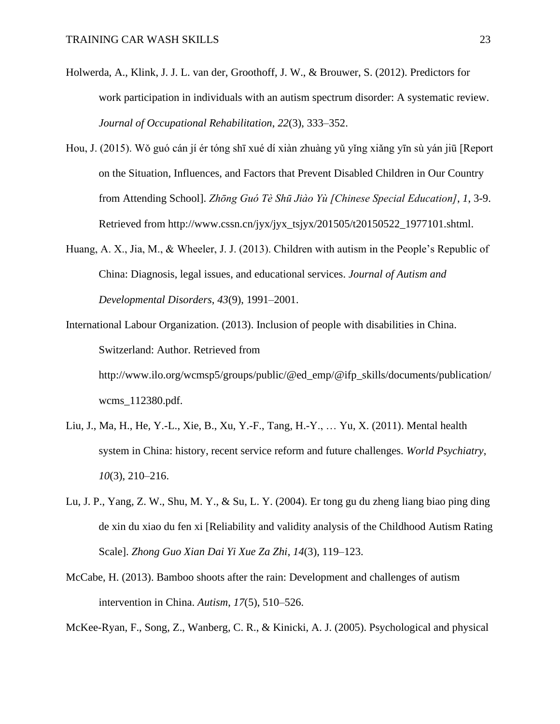- Holwerda, A., Klink, J. J. L. van der, Groothoff, J. W., & Brouwer, S. (2012). Predictors for work participation in individuals with an autism spectrum disorder: A systematic review. *Journal of Occupational Rehabilitation*, *22*(3), 333–352.
- Hou, J. (2015). Wǒ guó cán jí ér tóng shī xué dí xiàn zhuàng yǔ yǐng xiǎng yīn sù yán jiū [Report on the Situation, Influences, and Factors that Prevent Disabled Children in Our Country from Attending School]. *Zhōng Guó Tè Shū Jiào Yù [Chinese Special Education]*, *1*, 3-9. Retrieved from http://www.cssn.cn/jyx/jyx\_tsjyx/201505/t20150522\_1977101.shtml.
- Huang, A. X., Jia, M., & Wheeler, J. J. (2013). Children with autism in the People's Republic of China: Diagnosis, legal issues, and educational services. *Journal of Autism and Developmental Disorders*, *43*(9), 1991–2001.
- International Labour Organization. (2013). Inclusion of people with disabilities in China. Switzerland: Author. Retrieved from http://www.ilo.org/wcmsp5/groups/public/@ed\_emp/@ifp\_skills/documents/publication/ wcms\_112380.pdf.
- Liu, J., Ma, H., He, Y.-L., Xie, B., Xu, Y.-F., Tang, H.-Y., … Yu, X. (2011). Mental health system in China: history, recent service reform and future challenges. *World Psychiatry*, *10*(3), 210–216.
- Lu, J. P., Yang, Z. W., Shu, M. Y., & Su, L. Y. (2004). Er tong gu du zheng liang biao ping ding de xin du xiao du fen xi [Reliability and validity analysis of the Childhood Autism Rating Scale]. *Zhong Guo Xian Dai Yi Xue Za Zhi*, *14*(3), 119–123.
- McCabe, H. (2013). Bamboo shoots after the rain: Development and challenges of autism intervention in China. *Autism*, *17*(5), 510–526.

McKee-Ryan, F., Song, Z., Wanberg, C. R., & Kinicki, A. J. (2005). Psychological and physical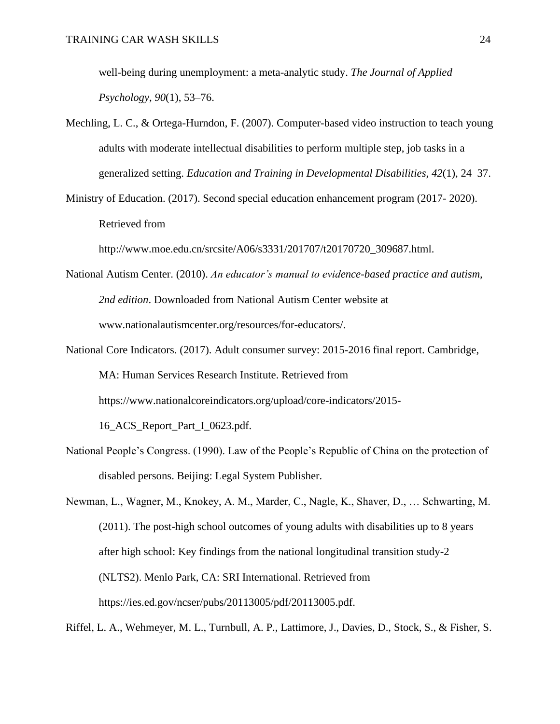well-being during unemployment: a meta-analytic study. *The Journal of Applied Psychology*, *90*(1), 53–76.

- Mechling, L. C., & Ortega-Hurndon, F. (2007). Computer-based video instruction to teach young adults with moderate intellectual disabilities to perform multiple step, job tasks in a generalized setting. *Education and Training in Developmental Disabilities*, *42*(1), 24–37.
- Ministry of Education. (2017). Second special education enhancement program (2017- 2020). Retrieved from

http://www.moe.edu.cn/srcsite/A06/s3331/201707/t20170720\_309687.html.

- National Autism Center. (2010). *An educator's manual to evidence-based practice and autism, 2nd edition*. Downloaded from National Autism Center website at www.nationalautismcenter.org/resources/for-educators/.
- National Core Indicators. (2017). Adult consumer survey: 2015-2016 final report. Cambridge, MA: Human Services Research Institute. Retrieved from https://www.nationalcoreindicators.org/upload/core-indicators/2015- 16\_ACS\_Report\_Part\_I\_0623.pdf.
- National People's Congress. (1990). Law of the People's Republic of China on the protection of disabled persons. Beijing: Legal System Publisher.

Newman, L., Wagner, M., Knokey, A. M., Marder, C., Nagle, K., Shaver, D., … Schwarting, M. (2011). The post-high school outcomes of young adults with disabilities up to 8 years after high school: Key findings from the national longitudinal transition study-2 (NLTS2). Menlo Park, CA: SRI International. Retrieved from https://ies.ed.gov/ncser/pubs/20113005/pdf/20113005.pdf.

Riffel, L. A., Wehmeyer, M. L., Turnbull, A. P., Lattimore, J., Davies, D., Stock, S., & Fisher, S.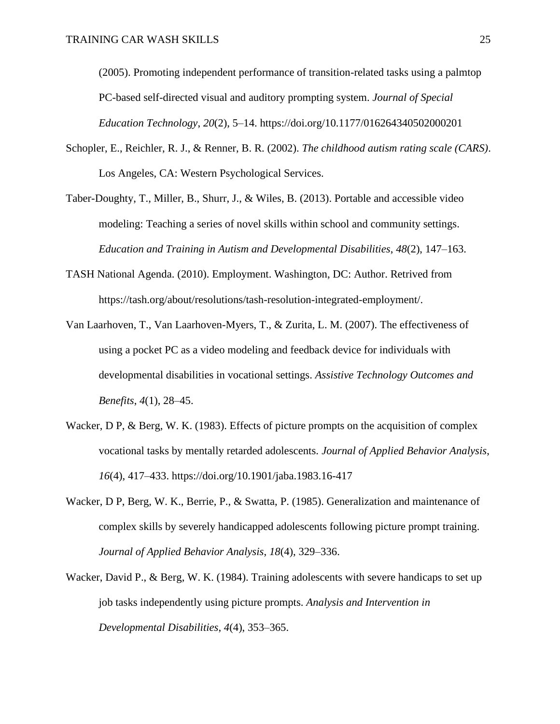(2005). Promoting independent performance of transition-related tasks using a palmtop PC-based self-directed visual and auditory prompting system. *Journal of Special Education Technology*, *20*(2), 5–14. https://doi.org/10.1177/016264340502000201

- Schopler, E., Reichler, R. J., & Renner, B. R. (2002). *The childhood autism rating scale (CARS)*. Los Angeles, CA: Western Psychological Services.
- Taber-Doughty, T., Miller, B., Shurr, J., & Wiles, B. (2013). Portable and accessible video modeling: Teaching a series of novel skills within school and community settings. *Education and Training in Autism and Developmental Disabilities*, *48*(2), 147–163.
- TASH National Agenda. (2010). Employment. Washington, DC: Author. Retrived from https://tash.org/about/resolutions/tash-resolution-integrated-employment/.
- Van Laarhoven, T., Van Laarhoven-Myers, T., & Zurita, L. M. (2007). The effectiveness of using a pocket PC as a video modeling and feedback device for individuals with developmental disabilities in vocational settings. *Assistive Technology Outcomes and Benefits*, *4*(1), 28–45.
- Wacker, D P, & Berg, W. K. (1983). Effects of picture prompts on the acquisition of complex vocational tasks by mentally retarded adolescents. *Journal of Applied Behavior Analysis*, *16*(4), 417–433. https://doi.org/10.1901/jaba.1983.16-417
- Wacker, D P, Berg, W. K., Berrie, P., & Swatta, P. (1985). Generalization and maintenance of complex skills by severely handicapped adolescents following picture prompt training. *Journal of Applied Behavior Analysis*, *18*(4), 329–336.
- Wacker, David P., & Berg, W. K. (1984). Training adolescents with severe handicaps to set up job tasks independently using picture prompts. *Analysis and Intervention in Developmental Disabilities*, *4*(4), 353–365.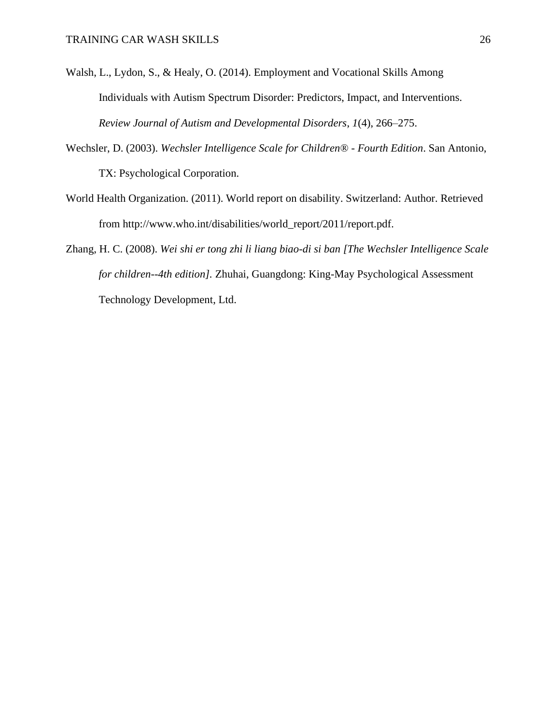- Walsh, L., Lydon, S., & Healy, O. (2014). Employment and Vocational Skills Among Individuals with Autism Spectrum Disorder: Predictors, Impact, and Interventions. *Review Journal of Autism and Developmental Disorders*, *1*(4), 266–275.
- Wechsler, D. (2003). *Wechsler Intelligence Scale for Children® - Fourth Edition*. San Antonio, TX: Psychological Corporation.
- World Health Organization. (2011). World report on disability. Switzerland: Author. Retrieved from http://www.who.int/disabilities/world\_report/2011/report.pdf.
- Zhang, H. C. (2008). *Wei shi er tong zhi li liang biao-di si ban [The Wechsler Intelligence Scale for children--4th edition].* Zhuhai, Guangdong: King-May Psychological Assessment Technology Development, Ltd.